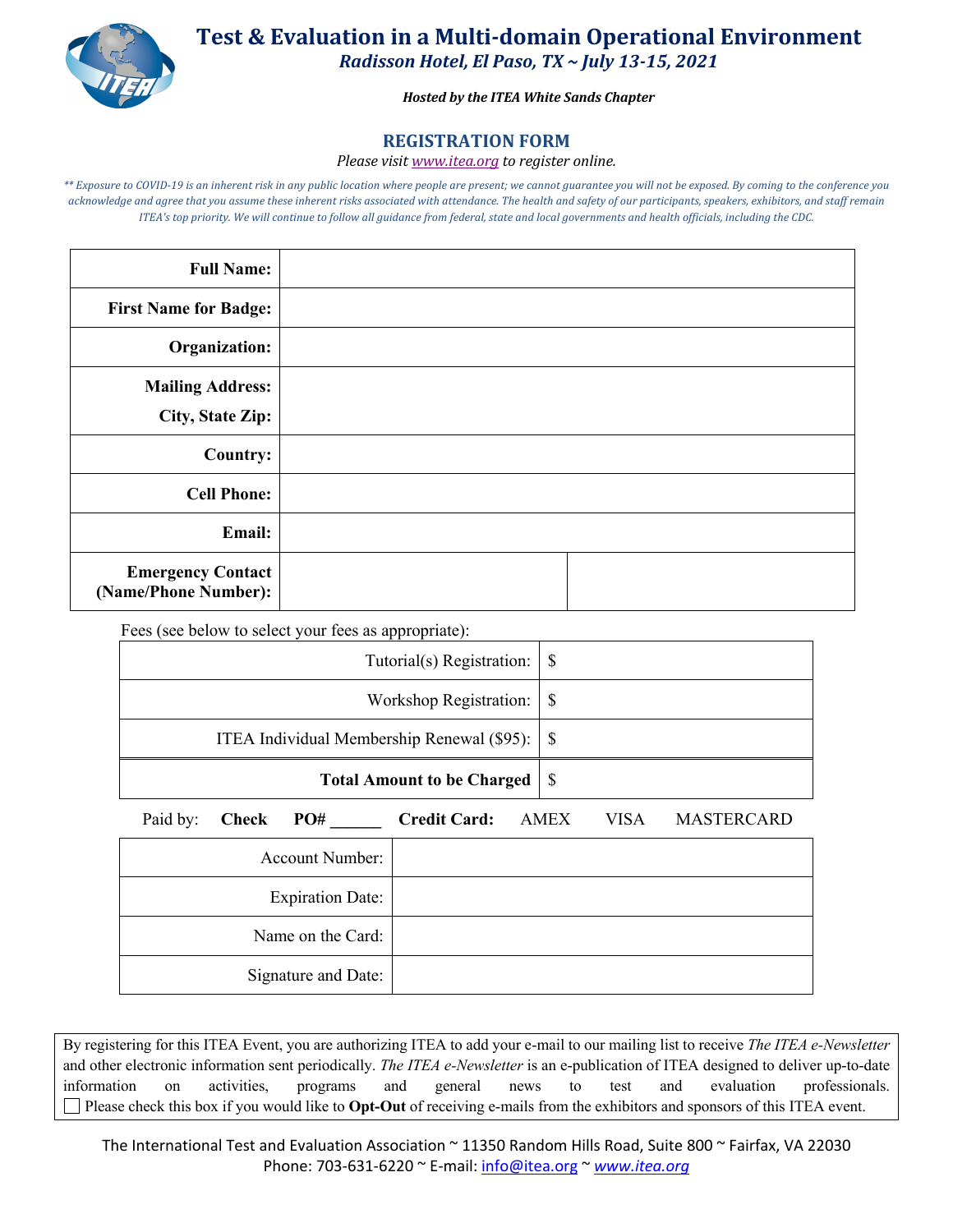

**Test & Evaluation in a Multi-domain Operational Environment** *Radisson Hotel, El Paso, TX ~ July 13-15, 2021*

*Hosted by the ITEA White Sands Chapter*

## **REGISTRATION FORM**

## *Please visit www.itea.org to register online.*

\*\* Exposure to COVID-19 is an inherent risk in any public location where people are present; we cannot guarantee you will not be exposed. By coming to the conference you *acknowledge and agree that you assume these inherent risks associated with attendance. The health and safety of our participants, speakers, exhibitors, and staff remain ITEA's* top priority. We will continue to follow all guidance from federal, state and local governments and health officials, including the CDC.

| <b>Full Name:</b>                                  |  |
|----------------------------------------------------|--|
| <b>First Name for Badge:</b>                       |  |
| Organization:                                      |  |
| <b>Mailing Address:</b><br><b>City, State Zip:</b> |  |
| <b>Country:</b>                                    |  |
| <b>Cell Phone:</b>                                 |  |
| Email:                                             |  |
| <b>Emergency Contact</b><br>(Name/Phone Number):   |  |

Fees (see below to select your fees as appropriate):

| Tutorial(s) Registration: $\vert \$                    |                                   |
|--------------------------------------------------------|-----------------------------------|
|                                                        |                                   |
| ITEA Individual Membership Renewal $(\$95)$ : $ \$$    |                                   |
| <b>Total Amount to be Charged</b>                      | - S                               |
| Paid by:<br><b>Credit Card:</b><br><b>Check</b><br>PO# | <b>MASTERCARD</b><br>VISA<br>AMEX |

| <b>Account Number:</b>  |  |
|-------------------------|--|
| <b>Expiration Date:</b> |  |
| Name on the Card:       |  |
| Signature and Date:     |  |

By registering for this ITEA Event, you are authorizing ITEA to add your e-mail to our mailing list to receive *The ITEA e-Newsletter* and other electronic information sent periodically. *The ITEA e-Newsletter* is an e-publication of ITEA designed to deliver up-to-date information on activities, programs and general news to test and evaluation professionals. Please check this box if you would like to **Opt-Out** of receiving e-mails from the exhibitors and sponsors of this ITEA event.

The International Test and Evaluation Association ~ 11350 Random Hills Road, Suite 800 ~ Fairfax, VA 22030 Phone: 703-631-6220 ~ E-mail: info@itea.org ~ *www.itea.org*